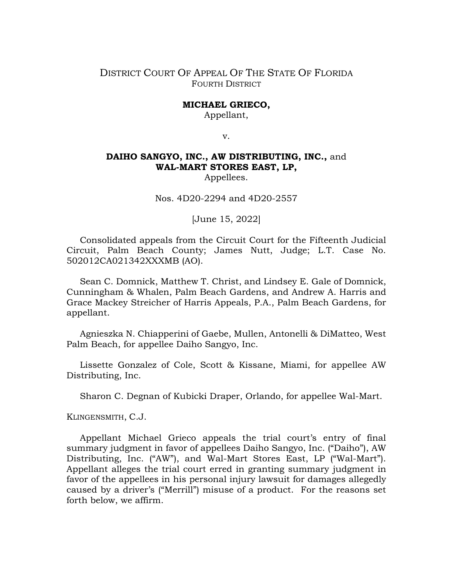# DISTRICT COURT OF APPEAL OF THE STATE OF FLORIDA FOURTH DISTRICT

#### **MICHAEL GRIECO,**

Appellant,

v.

# **DAIHO SANGYO, INC., AW DISTRIBUTING, INC.,** and **WAL-MART STORES EAST, LP,**

Appellees.

Nos. 4D20-2294 and 4D20-2557

[June 15, 2022]

Consolidated appeals from the Circuit Court for the Fifteenth Judicial Circuit, Palm Beach County; James Nutt, Judge; L.T. Case No. 502012CA021342XXXMB (AO).

Sean C. Domnick, Matthew T. Christ, and Lindsey E. Gale of Domnick, Cunningham & Whalen, Palm Beach Gardens, and Andrew A. Harris and Grace Mackey Streicher of Harris Appeals, P.A., Palm Beach Gardens, for appellant.

Agnieszka N. Chiapperini of Gaebe, Mullen, Antonelli & DiMatteo, West Palm Beach, for appellee Daiho Sangyo, Inc.

Lissette Gonzalez of Cole, Scott & Kissane, Miami, for appellee AW Distributing, Inc.

Sharon C. Degnan of Kubicki Draper, Orlando, for appellee Wal-Mart.

KLINGENSMITH, C.J.

Appellant Michael Grieco appeals the trial court's entry of final summary judgment in favor of appellees Daiho Sangyo, Inc. ("Daiho"), AW Distributing, Inc. ("AW"), and Wal-Mart Stores East, LP ("Wal-Mart"). Appellant alleges the trial court erred in granting summary judgment in favor of the appellees in his personal injury lawsuit for damages allegedly caused by a driver's ("Merrill") misuse of a product. For the reasons set forth below, we affirm.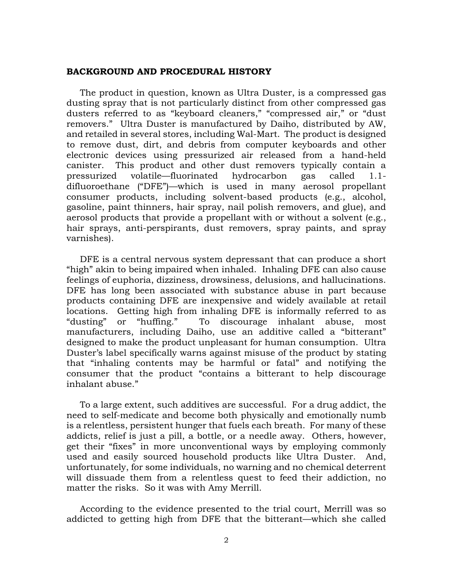#### **BACKGROUND AND PROCEDURAL HISTORY**

The product in question, known as Ultra Duster, is a compressed gas dusting spray that is not particularly distinct from other compressed gas dusters referred to as "keyboard cleaners," "compressed air," or "dust removers." Ultra Duster is manufactured by Daiho, distributed by AW, and retailed in several stores, including Wal-Mart. The product is designed to remove dust, dirt, and debris from computer keyboards and other electronic devices using pressurized air released from a hand-held canister. This product and other dust removers typically contain a pressurized volatile—fluorinated hydrocarbon gas called 1.1 difluoroethane ("DFE")—which is used in many aerosol propellant consumer products, including solvent-based products (e.g., alcohol, gasoline, paint thinners, hair spray, nail polish removers, and glue), and aerosol products that provide a propellant with or without a solvent (e.g., hair sprays, anti-perspirants, dust removers, spray paints, and spray varnishes).

DFE is a central nervous system depressant that can produce a short "high" akin to being impaired when inhaled. Inhaling DFE can also cause feelings of euphoria, dizziness, drowsiness, delusions, and hallucinations. DFE has long been associated with substance abuse in part because products containing DFE are inexpensive and widely available at retail locations. Getting high from inhaling DFE is informally referred to as "dusting" or "huffing." To discourage inhalant abuse, most manufacturers, including Daiho, use an additive called a "bitterant" designed to make the product unpleasant for human consumption. Ultra Duster's label specifically warns against misuse of the product by stating that "inhaling contents may be harmful or fatal" and notifying the consumer that the product "contains a bitterant to help discourage inhalant abuse."

To a large extent, such additives are successful. For a drug addict, the need to self-medicate and become both physically and emotionally numb is a relentless, persistent hunger that fuels each breath. For many of these addicts, relief is just a pill, a bottle, or a needle away. Others, however, get their "fixes" in more unconventional ways by employing commonly used and easily sourced household products like Ultra Duster. And, unfortunately, for some individuals, no warning and no chemical deterrent will dissuade them from a relentless quest to feed their addiction, no matter the risks. So it was with Amy Merrill.

According to the evidence presented to the trial court, Merrill was so addicted to getting high from DFE that the bitterant—which she called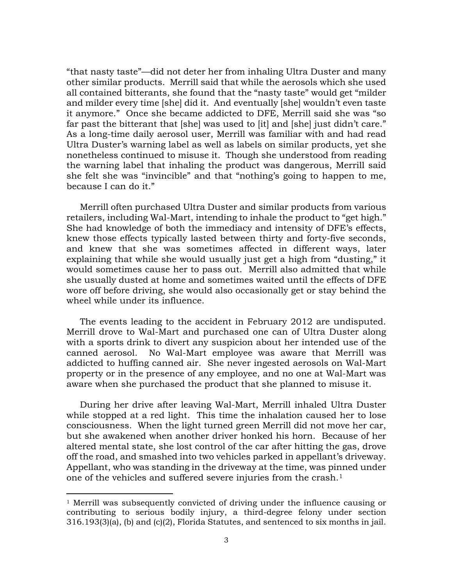"that nasty taste"—did not deter her from inhaling Ultra Duster and many other similar products. Merrill said that while the aerosols which she used all contained bitterants, she found that the "nasty taste" would get "milder and milder every time [she] did it. And eventually [she] wouldn't even taste it anymore." Once she became addicted to DFE, Merrill said she was "so far past the bitterant that [she] was used to [it] and [she] just didn't care." As a long-time daily aerosol user, Merrill was familiar with and had read Ultra Duster's warning label as well as labels on similar products, yet she nonetheless continued to misuse it. Though she understood from reading the warning label that inhaling the product was dangerous, Merrill said she felt she was "invincible" and that "nothing's going to happen to me, because I can do it."

Merrill often purchased Ultra Duster and similar products from various retailers, including Wal-Mart, intending to inhale the product to "get high." She had knowledge of both the immediacy and intensity of DFE's effects, knew those effects typically lasted between thirty and forty-five seconds, and knew that she was sometimes affected in different ways, later explaining that while she would usually just get a high from "dusting," it would sometimes cause her to pass out. Merrill also admitted that while she usually dusted at home and sometimes waited until the effects of DFE wore off before driving, she would also occasionally get or stay behind the wheel while under its influence.

The events leading to the accident in February 2012 are undisputed. Merrill drove to Wal-Mart and purchased one can of Ultra Duster along with a sports drink to divert any suspicion about her intended use of the canned aerosol. No Wal-Mart employee was aware that Merrill was addicted to huffing canned air. She never ingested aerosols on Wal-Mart property or in the presence of any employee, and no one at Wal-Mart was aware when she purchased the product that she planned to misuse it.

During her drive after leaving Wal-Mart, Merrill inhaled Ultra Duster while stopped at a red light. This time the inhalation caused her to lose consciousness. When the light turned green Merrill did not move her car, but she awakened when another driver honked his horn. Because of her altered mental state, she lost control of the car after hitting the gas, drove off the road, and smashed into two vehicles parked in appellant's driveway. Appellant, who was standing in the driveway at the time, was pinned under one of the vehicles and suffered severe injuries from the crash.[1](#page-2-0)

<span id="page-2-0"></span><sup>1</sup> Merrill was subsequently convicted of driving under the influence causing or contributing to serious bodily injury, a third-degree felony under section 316.193(3)(a), (b) and (c)(2), Florida Statutes, and sentenced to six months in jail.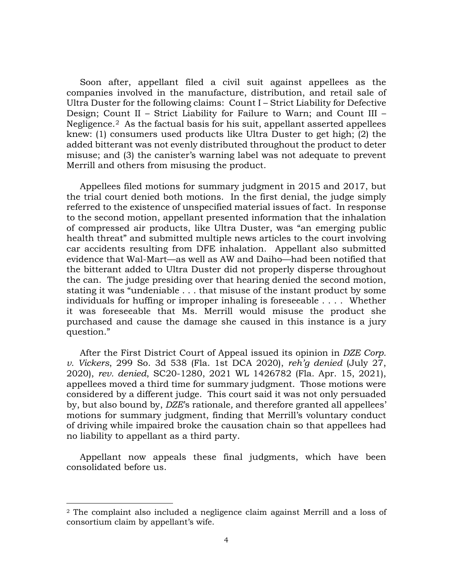Soon after, appellant filed a civil suit against appellees as the companies involved in the manufacture, distribution, and retail sale of Ultra Duster for the following claims: Count I – Strict Liability for Defective Design; Count II – Strict Liability for Failure to Warn; and Count III – Negligence.[2](#page-3-0) As the factual basis for his suit, appellant asserted appellees knew: (1) consumers used products like Ultra Duster to get high; (2) the added bitterant was not evenly distributed throughout the product to deter misuse; and (3) the canister's warning label was not adequate to prevent Merrill and others from misusing the product.

Appellees filed motions for summary judgment in 2015 and 2017, but the trial court denied both motions. In the first denial, the judge simply referred to the existence of unspecified material issues of fact. In response to the second motion, appellant presented information that the inhalation of compressed air products, like Ultra Duster, was "an emerging public health threat" and submitted multiple news articles to the court involving car accidents resulting from DFE inhalation. Appellant also submitted evidence that Wal-Mart—as well as AW and Daiho—had been notified that the bitterant added to Ultra Duster did not properly disperse throughout the can. The judge presiding over that hearing denied the second motion, stating it was "undeniable . . . that misuse of the instant product by some individuals for huffing or improper inhaling is foreseeable . . . . Whether it was foreseeable that Ms. Merrill would misuse the product she purchased and cause the damage she caused in this instance is a jury question."

After the First District Court of Appeal issued its opinion in *DZE Corp. v. Vickers*, 299 So. 3d 538 (Fla. 1st DCA 2020), *reh'g denied* (July 27, 2020), *rev. denied*, SC20-1280, 2021 WL 1426782 (Fla. Apr. 15, 2021), appellees moved a third time for summary judgment. Those motions were considered by a different judge. This court said it was not only persuaded by, but also bound by, *DZE*'s rationale*,* and therefore granted all appellees' motions for summary judgment, finding that Merrill's voluntary conduct of driving while impaired broke the causation chain so that appellees had no liability to appellant as a third party.

Appellant now appeals these final judgments, which have been consolidated before us.

<span id="page-3-0"></span><sup>2</sup> The complaint also included a negligence claim against Merrill and a loss of consortium claim by appellant's wife.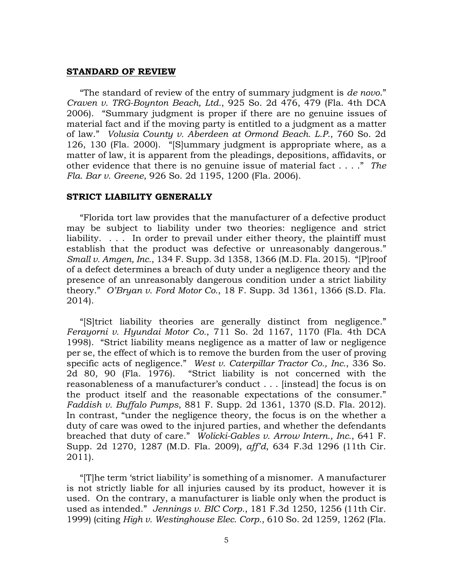#### **STANDARD OF REVIEW**

"The standard of review of the entry of summary judgment is *de novo*." *Craven v. TRG-Boynton Beach, Ltd.*, 925 So. 2d 476, 479 (Fla. 4th DCA 2006). "Summary judgment is proper if there are no genuine issues of material fact and if the moving party is entitled to a judgment as a matter of law." *Volusia County v. Aberdeen at Ormond Beach. L.P.*, 760 So. 2d 126, 130 (Fla. 2000). "[S]ummary judgment is appropriate where, as a matter of law, it is apparent from the pleadings, depositions, affidavits, or other evidence that there is no genuine issue of material fact . . . ." *The Fla. Bar v. Greene*, 926 So. 2d 1195, 1200 (Fla. 2006).

## **STRICT LIABILITY GENERALLY**

"Florida tort law provides that the manufacturer of a defective product may be subject to liability under two theories: negligence and strict liability. . . . In order to prevail under either theory, the plaintiff must establish that the product was defective or unreasonably dangerous." *Small v. Amgen, Inc.*, 134 F. Supp. 3d 1358, 1366 (M.D. Fla. 2015). "[P]roof of a defect determines a breach of duty under a negligence theory and the presence of an unreasonably dangerous condition under a strict liability theory." *O'Bryan v. Ford Motor Co.*, 18 F. Supp. 3d 1361, 1366 (S.D. Fla. 2014).

"[S]trict liability theories are generally distinct from negligence." *Ferayorni v. Hyundai Motor Co.*, 711 So. 2d 1167, 1170 (Fla. 4th DCA 1998). "Strict liability means negligence as a matter of law or negligence per se, the effect of which is to remove the burden from the user of proving specific acts of negligence." *West v. Caterpillar Tractor Co., Inc.*, 336 So. 2d 80, 90 (Fla. 1976). "Strict liability is not concerned with the reasonableness of a manufacturer's conduct . . . [instead] the focus is on the product itself and the reasonable expectations of the consumer." *Faddish v. Buffalo Pumps*, 881 F. Supp. 2d 1361, 1370 (S.D. Fla. 2012). In contrast, "under the negligence theory, the focus is on the whether a duty of care was owed to the injured parties, and whether the defendants breached that duty of care." *Wolicki-Gables v. Arrow Intern., Inc.*, 641 F. Supp. 2d 1270, 1287 (M.D. Fla. 2009), *aff'd*, 634 F.3d 1296 (11th Cir. 2011).

"[T]he term 'strict liability' is something of a misnomer. A manufacturer is not strictly liable for all injuries caused by its product, however it is used. On the contrary, a manufacturer is liable only when the product is used as intended." *Jennings v. BIC Corp.*, 181 F.3d 1250, 1256 (11th Cir. 1999) (citing *High v. Westinghouse Elec. Corp.*, 610 So. 2d 1259, 1262 (Fla.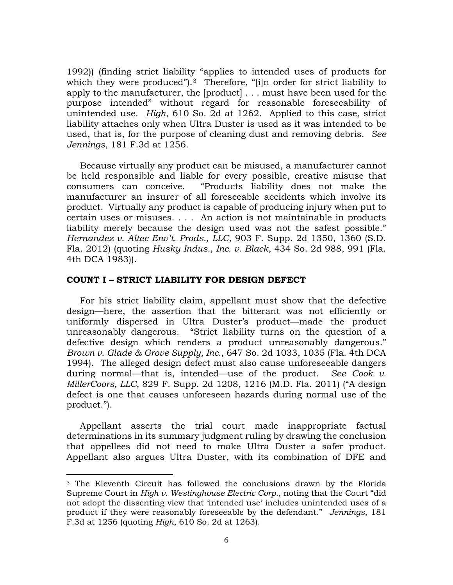1992)) (finding strict liability "applies to intended uses of products for which they were produced").<sup>[3](#page-5-0)</sup> Therefore, "[i]n order for strict liability to apply to the manufacturer, the [product] . . . must have been used for the purpose intended" without regard for reasonable foreseeability of unintended use. *High*, 610 So. 2d at 1262. Applied to this case, strict liability attaches only when Ultra Duster is used as it was intended to be used, that is, for the purpose of cleaning dust and removing debris. *See Jennings*, 181 F.3d at 1256.

Because virtually any product can be misused, a manufacturer cannot be held responsible and liable for every possible, creative misuse that consumers can conceive. "Products liability does not make the manufacturer an insurer of all foreseeable accidents which involve its product. Virtually any product is capable of producing injury when put to certain uses or misuses. . . . An action is not maintainable in products liability merely because the design used was not the safest possible." *Hernandez v. Altec Env't. Prods., LLC*, 903 F. Supp. 2d 1350, 1360 (S.D. Fla. 2012) (quoting *Husky Indus., Inc. v. Black*, 434 So. 2d 988, 991 (Fla. 4th DCA 1983)).

## **COUNT I – STRICT LIABILITY FOR DESIGN DEFECT**

For his strict liability claim, appellant must show that the defective design—here, the assertion that the bitterant was not efficiently or uniformly dispersed in Ultra Duster's product—made the product unreasonably dangerous. "Strict liability turns on the question of a defective design which renders a product unreasonably dangerous." *Brown v. Glade & Grove Supply, Inc.*, 647 So. 2d 1033, 1035 (Fla. 4th DCA 1994). The alleged design defect must also cause unforeseeable dangers during normal—that is, intended—use of the product. *See Cook v. MillerCoors, LLC*, 829 F. Supp. 2d 1208, 1216 (M.D. Fla. 2011) ("A design defect is one that causes unforeseen hazards during normal use of the product.").

Appellant asserts the trial court made inappropriate factual determinations in its summary judgment ruling by drawing the conclusion that appellees did not need to make Ultra Duster a safer product. Appellant also argues Ultra Duster, with its combination of DFE and

<span id="page-5-0"></span><sup>3</sup> The Eleventh Circuit has followed the conclusions drawn by the Florida Supreme Court in *High v. Westinghouse Electric Corp.*, noting that the Court "did not adopt the dissenting view that 'intended use' includes unintended uses of a product if they were reasonably foreseeable by the defendant." *Jennings*, 181 F.3d at 1256 (quoting *High*, 610 So. 2d at 1263).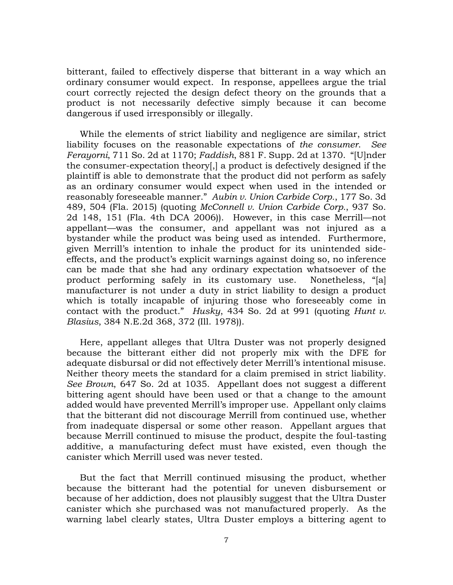bitterant, failed to effectively disperse that bitterant in a way which an ordinary consumer would expect. In response, appellees argue the trial court correctly rejected the design defect theory on the grounds that a product is not necessarily defective simply because it can become dangerous if used irresponsibly or illegally.

While the elements of strict liability and negligence are similar, strict liability focuses on the reasonable expectations of *the consumer*. *See Ferayorni*, 711 So. 2d at 1170; *Faddish*, 881 F. Supp. 2d at 1370. "[U]nder the consumer-expectation theory[,] a product is defectively designed if the plaintiff is able to demonstrate that the product did not perform as safely as an ordinary consumer would expect when used in the intended or reasonably foreseeable manner." *Aubin v. Union Carbide Corp.*, 177 So. 3d 489, 504 (Fla. 2015) (quoting *McConnell v. Union Carbide Corp.*, 937 So. 2d 148, 151 (Fla. 4th DCA 2006)). However, in this case Merrill—not appellant—was the consumer, and appellant was not injured as a bystander while the product was being used as intended. Furthermore, given Merrill's intention to inhale the product for its unintended sideeffects, and the product's explicit warnings against doing so, no inference can be made that she had any ordinary expectation whatsoever of the product performing safely in its customary use. Nonetheless, "[a] manufacturer is not under a duty in strict liability to design a product which is totally incapable of injuring those who foreseeably come in contact with the product." *Husky*, 434 So. 2d at 991 (quoting *Hunt v. Blasius*, 384 N.E.2d 368, 372 (Ill. 1978)).

Here, appellant alleges that Ultra Duster was not properly designed because the bitterant either did not properly mix with the DFE for adequate disbursal or did not effectively deter Merrill's intentional misuse. Neither theory meets the standard for a claim premised in strict liability. *See Brown*, 647 So. 2d at 1035. Appellant does not suggest a different bittering agent should have been used or that a change to the amount added would have prevented Merrill's improper use. Appellant only claims that the bitterant did not discourage Merrill from continued use, whether from inadequate dispersal or some other reason. Appellant argues that because Merrill continued to misuse the product, despite the foul-tasting additive, a manufacturing defect must have existed, even though the canister which Merrill used was never tested.

But the fact that Merrill continued misusing the product, whether because the bitterant had the potential for uneven disbursement or because of her addiction, does not plausibly suggest that the Ultra Duster canister which she purchased was not manufactured properly. As the warning label clearly states, Ultra Duster employs a bittering agent to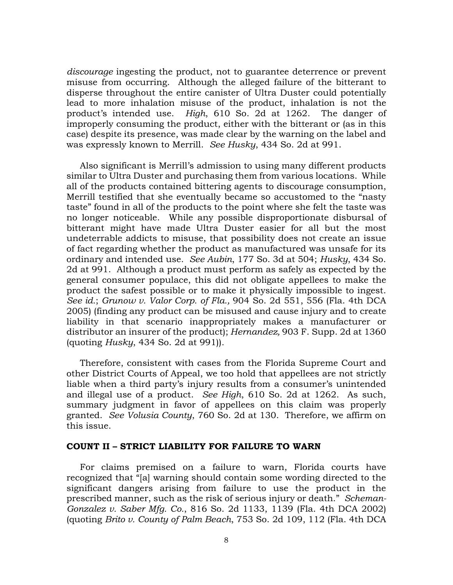*discourage* ingesting the product, not to guarantee deterrence or prevent misuse from occurring. Although the alleged failure of the bitterant to disperse throughout the entire canister of Ultra Duster could potentially lead to more inhalation misuse of the product, inhalation is not the product's intended use. *High*, 610 So. 2d at 1262. The danger of improperly consuming the product, either with the bitterant or (as in this case) despite its presence, was made clear by the warning on the label and was expressly known to Merrill. *See Husky*, 434 So. 2d at 991.

Also significant is Merrill's admission to using many different products similar to Ultra Duster and purchasing them from various locations. While all of the products contained bittering agents to discourage consumption, Merrill testified that she eventually became so accustomed to the "nasty taste" found in all of the products to the point where she felt the taste was no longer noticeable. While any possible disproportionate disbursal of bitterant might have made Ultra Duster easier for all but the most undeterrable addicts to misuse, that possibility does not create an issue of fact regarding whether the product as manufactured was unsafe for its ordinary and intended use. *See Aubin*, 177 So. 3d at 504; *Husky*, 434 So. 2d at 991. Although a product must perform as safely as expected by the general consumer populace, this did not obligate appellees to make the product the safest possible or to make it physically impossible to ingest. *See id.*; *Grunow v. Valor Corp. of Fla.,* 904 So. 2d 551, 556 (Fla. 4th DCA 2005) (finding any product can be misused and cause injury and to create liability in that scenario inappropriately makes a manufacturer or distributor an insurer of the product); *Hernandez,* 903 F. Supp. 2d at 1360 (quoting *Husky*, 434 So. 2d at 991))*.*

Therefore, consistent with cases from the Florida Supreme Court and other District Courts of Appeal, we too hold that appellees are not strictly liable when a third party's injury results from a consumer's unintended and illegal use of a product. *See High*, 610 So. 2d at 1262. As such, summary judgment in favor of appellees on this claim was properly granted. *See Volusia County*, 760 So. 2d at 130. Therefore, we affirm on this issue.

### **COUNT II – STRICT LIABILITY FOR FAILURE TO WARN**

For claims premised on a failure to warn, Florida courts have recognized that "[a] warning should contain some wording directed to the significant dangers arising from failure to use the product in the prescribed manner, such as the risk of serious injury or death." *Scheman-Gonzalez v. Saber Mfg. Co.*, 816 So. 2d 1133, 1139 (Fla. 4th DCA 2002) (quoting *Brito v. County of Palm Beach*, 753 So. 2d 109, 112 (Fla. 4th DCA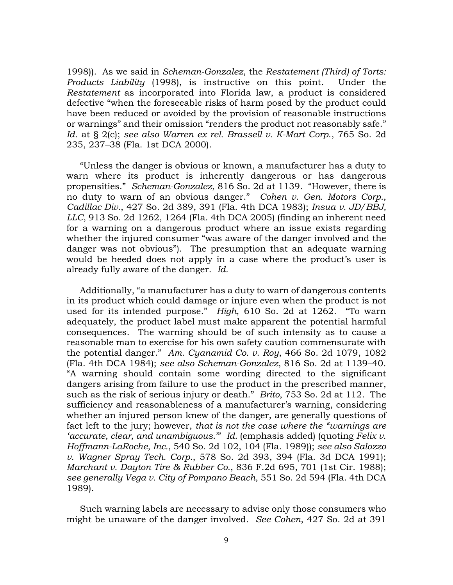1998)). As we said in *Scheman-Gonzalez*, the *Restatement (Third) of Torts: Products Liability* (1998), is instructive on this point. Under the *Restatement* as incorporated into Florida law, a product is considered defective "when the foreseeable risks of harm posed by the product could have been reduced or avoided by the provision of reasonable instructions or warnings" and their omission "renders the product not reasonably safe." *Id*. at § 2(c); *see also Warren ex rel. Brassell v. K-Mart Corp*., 765 So. 2d 235, 237–38 (Fla. 1st DCA 2000).

"Unless the danger is obvious or known, a manufacturer has a duty to warn where its product is inherently dangerous or has dangerous propensities." *Scheman-Gonzalez*, 816 So. 2d at 1139. "However, there is no duty to warn of an obvious danger." *Cohen v. Gen. Motors Corp., Cadillac Div.*, 427 So. 2d 389, 391 (Fla. 4th DCA 1983); *Insua v. JD/BBJ, LLC*, 913 So. 2d 1262, 1264 (Fla. 4th DCA 2005) (finding an inherent need for a warning on a dangerous product where an issue exists regarding whether the injured consumer "was aware of the danger involved and the danger was not obvious"). The presumption that an adequate warning would be heeded does not apply in a case where the product's user is already fully aware of the danger. *Id.* 

Additionally, "a manufacturer has a duty to warn of dangerous contents in its product which could damage or injure even when the product is not used for its intended purpose." *High*, 610 So. 2d at 1262. "To warn adequately, the product label must make apparent the potential harmful consequences. The warning should be of such intensity as to cause a reasonable man to exercise for his own safety caution commensurate with the potential danger." *Am. Cyanamid Co. v. Roy*, 466 So. 2d 1079, 1082 (Fla. 4th DCA 1984); *see also Scheman-Gonzalez*, 816 So. 2d at 1139–40. "A warning should contain some wording directed to the significant dangers arising from failure to use the product in the prescribed manner, such as the risk of serious injury or death." *Brito*, 753 So. 2d at 112. The sufficiency and reasonableness of a manufacturer's warning, considering whether an injured person knew of the danger, are generally questions of fact left to the jury; however, *that is not the case where the "warnings are 'accurate, clear, and unambiguous*.'" *Id.* (emphasis added) (quoting *Felix v. Hoffmann-LaRoche, Inc.*, 540 So. 2d 102, 104 (Fla. 1989)); *see also Salozzo v. Wagner Spray Tech. Corp.*, 578 So. 2d 393, 394 (Fla. 3d DCA 1991); *Marchant v. Dayton Tire & Rubber Co.*, 836 F.2d 695, 701 (1st Cir. 1988); *see generally Vega v. City of Pompano Beach*, 551 So. 2d 594 (Fla. 4th DCA 1989).

Such warning labels are necessary to advise only those consumers who might be unaware of the danger involved. *See Cohen*, 427 So. 2d at 391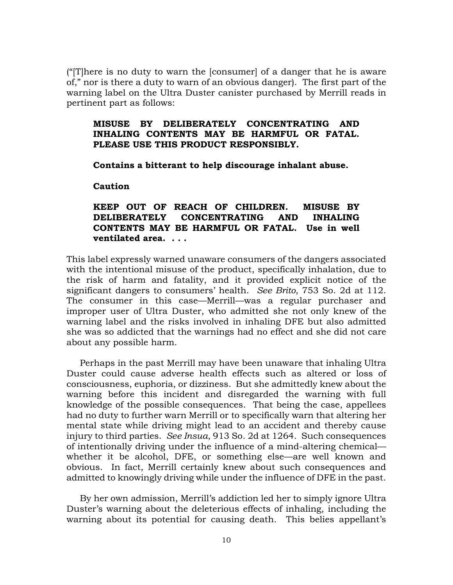("[T]here is no duty to warn the [consumer] of a danger that he is aware of," nor is there a duty to warn of an obvious danger). The first part of the warning label on the Ultra Duster canister purchased by Merrill reads in pertinent part as follows:

## **MISUSE BY DELIBERATELY CONCENTRATING AND INHALING CONTENTS MAY BE HARMFUL OR FATAL. PLEASE USE THIS PRODUCT RESPONSIBLY.**

**Contains a bitterant to help discourage inhalant abuse.**

**Caution**

# **KEEP OUT OF REACH OF CHILDREN. MISUSE BY DELIBERATELY CONCENTRATING AND INHALING CONTENTS MAY BE HARMFUL OR FATAL. Use in well ventilated area. . . .**

This label expressly warned unaware consumers of the dangers associated with the intentional misuse of the product, specifically inhalation, due to the risk of harm and fatality, and it provided explicit notice of the significant dangers to consumers' health. *See Brito*, 753 So. 2d at 112. The consumer in this case—Merrill—was a regular purchaser and improper user of Ultra Duster, who admitted she not only knew of the warning label and the risks involved in inhaling DFE but also admitted she was so addicted that the warnings had no effect and she did not care about any possible harm.

Perhaps in the past Merrill may have been unaware that inhaling Ultra Duster could cause adverse health effects such as altered or loss of consciousness, euphoria, or dizziness. But she admittedly knew about the warning before this incident and disregarded the warning with full knowledge of the possible consequences. That being the case, appellees had no duty to further warn Merrill or to specifically warn that altering her mental state while driving might lead to an accident and thereby cause injury to third parties. *See Insua*, 913 So. 2d at 1264. Such consequences of intentionally driving under the influence of a mind-altering chemical whether it be alcohol, DFE, or something else—are well known and obvious. In fact, Merrill certainly knew about such consequences and admitted to knowingly driving while under the influence of DFE in the past.

By her own admission, Merrill's addiction led her to simply ignore Ultra Duster's warning about the deleterious effects of inhaling, including the warning about its potential for causing death. This belies appellant's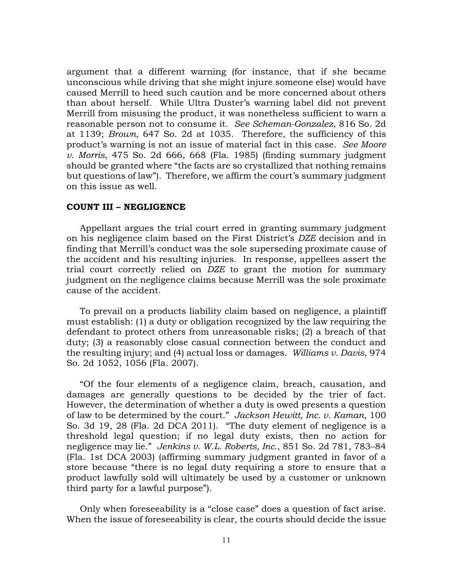argument that a different warning (for instance, that if she became unconscious while driving that she might injure someone else) would have caused Merrill to heed such caution and be more concerned about others than about herself. While Ultra Duster's warning label did not prevent Merrill from misusing the product, it was nonetheless sufficient to warn a reasonable person not to consume it. *See Scheman-Gonzalez*, 816 So. 2d at 1139; *Brown*, 647 So. 2d at 1035. Therefore, the sufficiency of this product's warning is not an issue of material fact in this case. *See Moore v. Morris*, 475 So. 2d 666, 668 (Fla. 1985) (finding summary judgment should be granted where "the facts are so crystallized that nothing remains but questions of law"). Therefore, we affirm the court's summary judgment on this issue as well.

### **COUNT III – NEGLIGENCE**

Appellant argues the trial court erred in granting summary judgment on his negligence claim based on the First District's *DZE* decision and in finding that Merrill's conduct was the sole superseding proximate cause of the accident and his resulting injuries. In response, appellees assert the trial court correctly relied on *DZE* to grant the motion for summary judgment on the negligence claims because Merrill was the sole proximate cause of the accident.

To prevail on a products liability claim based on negligence, a plaintiff must establish: (1) a duty or obligation recognized by the law requiring the defendant to protect others from unreasonable risks; (2) a breach of that duty; (3) a reasonably close casual connection between the conduct and the resulting injury; and (4) actual loss or damages. *Williams v. Davis*, 974 So. 2d 1052, 1056 (Fla. 2007).

"Of the four elements of a negligence claim, breach, causation, and damages are generally questions to be decided by the trier of fact. However, the determination of whether a duty is owed presents a question of law to be determined by the court." *Jackson Hewitt, Inc. v. Kaman*, 100 So. 3d 19, 28 (Fla. 2d DCA 2011). "The duty element of negligence is a threshold legal question; if no legal duty exists, then no action for negligence may lie." *Jenkins v. W.L. Roberts, Inc.*, 851 So. 2d 781, 783–84 (Fla. 1st DCA 2003) (affirming summary judgment granted in favor of a store because "there is no legal duty requiring a store to ensure that a product lawfully sold will ultimately be used by a customer or unknown third party for a lawful purpose").

Only when foreseeability is a "close case" does a question of fact arise. When the issue of foreseeability is clear, the courts should decide the issue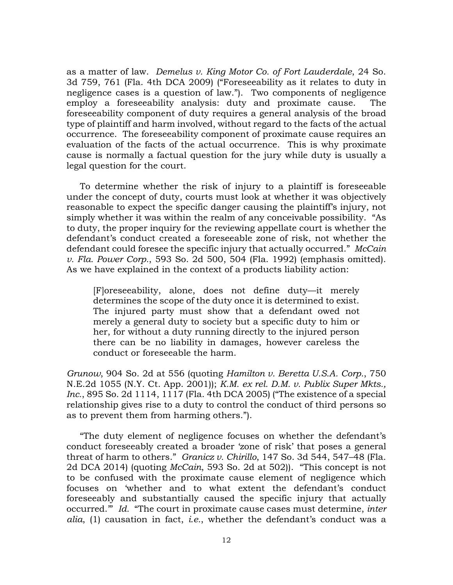as a matter of law. *Demelus v. King Motor Co. of Fort Lauderdale*, 24 So. 3d 759, 761 (Fla. 4th DCA 2009) ("Foreseeability as it relates to duty in negligence cases is a question of law."). Two components of negligence employ a foreseeability analysis: duty and proximate cause. The foreseeability component of duty requires a general analysis of the broad type of plaintiff and harm involved, without regard to the facts of the actual occurrence. The foreseeability component of proximate cause requires an evaluation of the facts of the actual occurrence. This is why proximate cause is normally a factual question for the jury while duty is usually a legal question for the court.

To determine whether the risk of injury to a plaintiff is foreseeable under the concept of duty, courts must look at whether it was objectively reasonable to expect the specific danger causing the plaintiff's injury, not simply whether it was within the realm of any conceivable possibility. "As to duty, the proper inquiry for the reviewing appellate court is whether the defendant's conduct created a foreseeable zone of risk, not whether the defendant could foresee the specific injury that actually occurred." *McCain v. Fla. Power Corp.*, 593 So. 2d 500, 504 (Fla. 1992) (emphasis omitted). As we have explained in the context of a products liability action:

[F]oreseeability, alone, does not define duty—it merely determines the scope of the duty once it is determined to exist. The injured party must show that a defendant owed not merely a general duty to society but a specific duty to him or her, for without a duty running directly to the injured person there can be no liability in damages, however careless the conduct or foreseeable the harm.

*Grunow*, 904 So. 2d at 556 (quoting *Hamilton v. Beretta U.S.A. Corp.*, 750 N.E.2d 1055 (N.Y. Ct. App. 2001)); *K.M. ex rel. D.M. v. Publix Super Mkts., Inc.*, 895 So. 2d 1114, 1117 (Fla. 4th DCA 2005) ("The existence of a special relationship gives rise to a duty to control the conduct of third persons so as to prevent them from harming others.").

"The duty element of negligence focuses on whether the defendant's conduct foreseeably created a broader 'zone of risk' that poses a general threat of harm to others." *Granicz v. Chirillo*, 147 So. 3d 544, 547–48 (Fla. 2d DCA 2014) (quoting *McCain*, 593 So. 2d at 502)). "This concept is not to be confused with the proximate cause element of negligence which focuses on 'whether and to what extent the defendant's conduct foreseeably and substantially caused the specific injury that actually occurred.'" *Id.* "The court in proximate cause cases must determine, *inter alia*, (1) causation in fact, *i.e.*, whether the defendant's conduct was a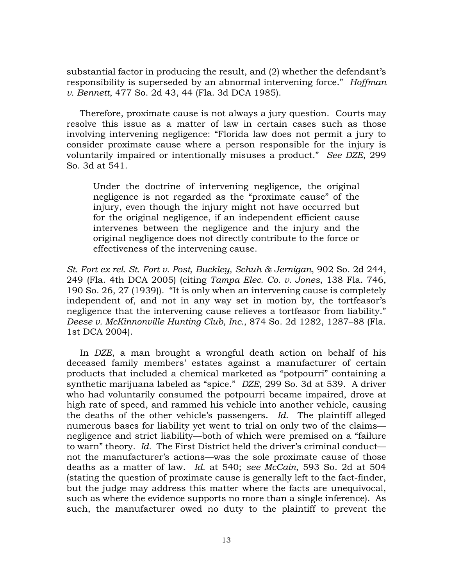substantial factor in producing the result, and (2) whether the defendant's responsibility is superseded by an abnormal intervening force." *Hoffman v. Bennett*, 477 So. 2d 43, 44 (Fla. 3d DCA 1985).

Therefore, proximate cause is not always a jury question. Courts may resolve this issue as a matter of law in certain cases such as those involving intervening negligence: "Florida law does not permit a jury to consider proximate cause where a person responsible for the injury is voluntarily impaired or intentionally misuses a product." *See DZE*, 299 So. 3d at 541.

Under the doctrine of intervening negligence, the original negligence is not regarded as the "proximate cause" of the injury, even though the injury might not have occurred but for the original negligence, if an independent efficient cause intervenes between the negligence and the injury and the original negligence does not directly contribute to the force or effectiveness of the intervening cause.

*St. Fort ex rel. St. Fort v. Post, Buckley, Schuh & Jernigan*, 902 So. 2d 244, 249 (Fla. 4th DCA 2005) (citing *Tampa Elec. Co. v. Jones*, 138 Fla. 746, 190 So. 26, 27 (1939)). "It is only when an intervening cause is completely independent of, and not in any way set in motion by, the tortfeasor's negligence that the intervening cause relieves a tortfeasor from liability." *Deese v. McKinnonville Hunting Club, Inc.*, 874 So. 2d 1282, 1287–88 (Fla. 1st DCA 2004).

In *DZE*, a man brought a wrongful death action on behalf of his deceased family members' estates against a manufacturer of certain products that included a chemical marketed as "potpourri" containing a synthetic marijuana labeled as "spice." *DZE*, 299 So. 3d at 539. A driver who had voluntarily consumed the potpourri became impaired, drove at high rate of speed, and rammed his vehicle into another vehicle, causing the deaths of the other vehicle's passengers. *Id.* The plaintiff alleged numerous bases for liability yet went to trial on only two of the claims negligence and strict liability—both of which were premised on a "failure to warn" theory. *Id.* The First District held the driver's criminal conduct not the manufacturer's actions—was the sole proximate cause of those deaths as a matter of law. *Id.* at 540; *see McCain*, 593 So. 2d at 504 (stating the question of proximate cause is generally left to the fact-finder, but the judge may address this matter where the facts are unequivocal, such as where the evidence supports no more than a single inference). As such, the manufacturer owed no duty to the plaintiff to prevent the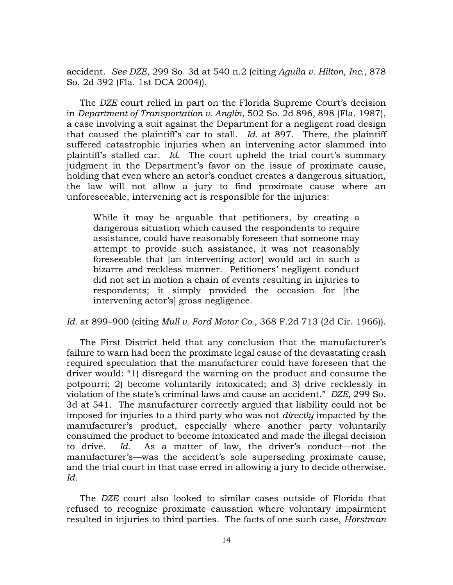accident. *See DZE*, 299 So. 3d at 540 n.2 (citing *Aguila v. Hilton, Inc.*, 878 So. 2d 392 (Fla. 1st DCA 2004)).

The *DZE* court relied in part on the Florida Supreme Court's decision in *Department of Transportation v. Anglin*, 502 So. 2d 896, 898 (Fla. 1987), a case involving a suit against the Department for a negligent road design that caused the plaintiff's car to stall. *Id.* at 897. There, the plaintiff suffered catastrophic injuries when an intervening actor slammed into plaintiff's stalled car. *Id.* The court upheld the trial court's summary judgment in the Department's favor on the issue of proximate cause, holding that even where an actor's conduct creates a dangerous situation, the law will not allow a jury to find proximate cause where an unforeseeable, intervening act is responsible for the injuries:

While it may be arguable that petitioners, by creating a dangerous situation which caused the respondents to require assistance, could have reasonably foreseen that someone may attempt to provide such assistance, it was not reasonably foreseeable that [an intervening actor] would act in such a bizarre and reckless manner. Petitioners' negligent conduct did not set in motion a chain of events resulting in injuries to respondents; it simply provided the occasion for [the intervening actor's] gross negligence.

*Id.* at 899–900 (citing *Mull v. Ford Motor Co.*, 368 F.2d 713 (2d Cir. 1966)).

The First District held that any conclusion that the manufacturer's failure to warn had been the proximate legal cause of the devastating crash required speculation that the manufacturer could have foreseen that the driver would: "1) disregard the warning on the product and consume the potpourri; 2) become voluntarily intoxicated; and 3) drive recklessly in violation of the state's criminal laws and cause an accident." *DZE*, 299 So. 3d at 541. The manufacturer correctly argued that liability could not be imposed for injuries to a third party who was not *directly* impacted by the manufacturer's product, especially where another party voluntarily consumed the product to become intoxicated and made the illegal decision to drive. *Id.* As a matter of law, the driver's conduct—not the manufacturer's—was the accident's sole superseding proximate cause, and the trial court in that case erred in allowing a jury to decide otherwise. *Id.*

The *DZE* court also looked to similar cases outside of Florida that refused to recognize proximate causation where voluntary impairment resulted in injuries to third parties. The facts of one such case, *Horstman*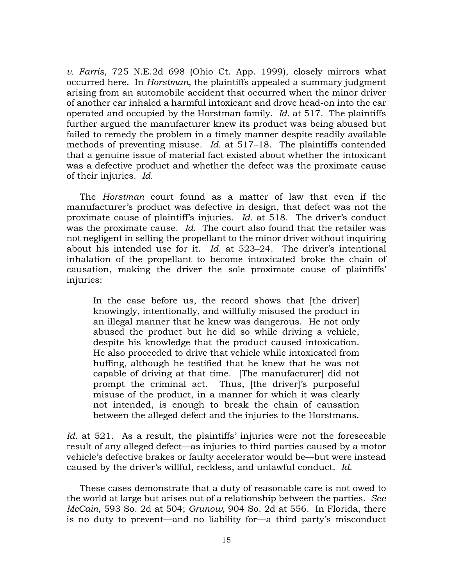*v. Farris*, 725 N.E.2d 698 (Ohio Ct. App. 1999), closely mirrors what occurred here. In *Horstman*, the plaintiffs appealed a summary judgment arising from an automobile accident that occurred when the minor driver of another car inhaled a harmful intoxicant and drove head-on into the car operated and occupied by the Horstman family. *Id.* at 517. The plaintiffs further argued the manufacturer knew its product was being abused but failed to remedy the problem in a timely manner despite readily available methods of preventing misuse. *Id.* at 517–18. The plaintiffs contended that a genuine issue of material fact existed about whether the intoxicant was a defective product and whether the defect was the proximate cause of their injuries. *Id.*

The *Horstman* court found as a matter of law that even if the manufacturer's product was defective in design, that defect was not the proximate cause of plaintiff's injuries. *Id.* at 518. The driver's conduct was the proximate cause. *Id.* The court also found that the retailer was not negligent in selling the propellant to the minor driver without inquiring about his intended use for it. *Id.* at 523–24. The driver's intentional inhalation of the propellant to become intoxicated broke the chain of causation, making the driver the sole proximate cause of plaintiffs' injuries:

In the case before us, the record shows that [the driver] knowingly, intentionally, and willfully misused the product in an illegal manner that he knew was dangerous. He not only abused the product but he did so while driving a vehicle, despite his knowledge that the product caused intoxication. He also proceeded to drive that vehicle while intoxicated from huffing, although he testified that he knew that he was not capable of driving at that time. [The manufacturer] did not prompt the criminal act. Thus, [the driver]'s purposeful misuse of the product, in a manner for which it was clearly not intended, is enough to break the chain of causation between the alleged defect and the injuries to the Horstmans.

*Id.* at 521. As a result, the plaintiffs' injuries were not the foreseeable result of any alleged defect—as injuries to third parties caused by a motor vehicle's defective brakes or faulty accelerator would be—but were instead caused by the driver's willful, reckless, and unlawful conduct. *Id.*

These cases demonstrate that a duty of reasonable care is not owed to the world at large but arises out of a relationship between the parties. *See McCain*, 593 So. 2d at 504; *Grunow*, 904 So. 2d at 556. In Florida, there is no duty to prevent—and no liability for—a third party's misconduct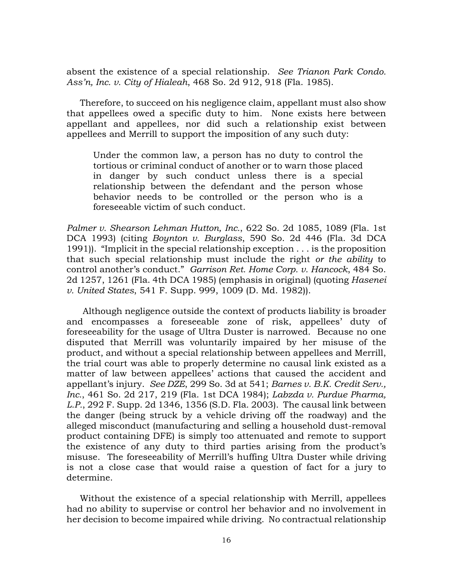absent the existence of a special relationship. *See Trianon Park Condo. Ass'n, Inc. v. City of Hialeah*, 468 So. 2d 912, 918 (Fla. 1985).

Therefore, to succeed on his negligence claim, appellant must also show that appellees owed a specific duty to him. None exists here between appellant and appellees, nor did such a relationship exist between appellees and Merrill to support the imposition of any such duty:

Under the common law, a person has no duty to control the tortious or criminal conduct of another or to warn those placed in danger by such conduct unless there is a special relationship between the defendant and the person whose behavior needs to be controlled or the person who is a foreseeable victim of such conduct.

*Palmer v. Shearson Lehman Hutton, Inc.*, 622 So. 2d 1085, 1089 (Fla. 1st DCA 1993) (citing *Boynton v. Burglass*, 590 So. 2d 446 (Fla. 3d DCA 1991)). "Implicit in the special relationship exception . . . is the proposition that such special relationship must include the right *or the ability* to control another's conduct." *Garrison Ret. Home Corp. v. Hancock*, 484 So. 2d 1257, 1261 (Fla. 4th DCA 1985) (emphasis in original) (quoting *Hasenei v. United States*, 541 F. Supp. 999, 1009 (D. Md. 1982)).

Although negligence outside the context of products liability is broader and encompasses a foreseeable zone of risk, appellees' duty of foreseeability for the usage of Ultra Duster is narrowed. Because no one disputed that Merrill was voluntarily impaired by her misuse of the product, and without a special relationship between appellees and Merrill, the trial court was able to properly determine no causal link existed as a matter of law between appellees' actions that caused the accident and appellant's injury. *See DZE*, 299 So. 3d at 541; *Barnes v. B.K. Credit Serv., Inc.*, 461 So. 2d 217, 219 (Fla. 1st DCA 1984); *Labzda v. Purdue Pharma, L.P.*, 292 F. Supp. 2d 1346, 1356 (S.D. Fla. 2003). The causal link between the danger (being struck by a vehicle driving off the roadway) and the alleged misconduct (manufacturing and selling a household dust-removal product containing DFE) is simply too attenuated and remote to support the existence of any duty to third parties arising from the product's misuse. The foreseeability of Merrill's huffing Ultra Duster while driving is not a close case that would raise a question of fact for a jury to determine.

Without the existence of a special relationship with Merrill, appellees had no ability to supervise or control her behavior and no involvement in her decision to become impaired while driving. No contractual relationship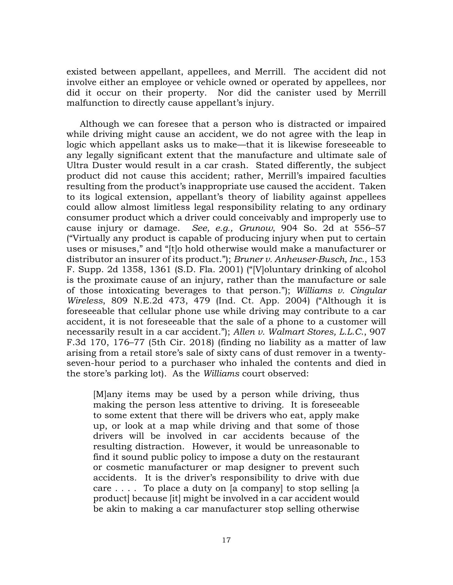existed between appellant, appellees, and Merrill. The accident did not involve either an employee or vehicle owned or operated by appellees, nor did it occur on their property. Nor did the canister used by Merrill malfunction to directly cause appellant's injury.

Although we can foresee that a person who is distracted or impaired while driving might cause an accident, we do not agree with the leap in logic which appellant asks us to make—that it is likewise foreseeable to any legally significant extent that the manufacture and ultimate sale of Ultra Duster would result in a car crash. Stated differently, the subject product did not cause this accident; rather, Merrill's impaired faculties resulting from the product's inappropriate use caused the accident. Taken to its logical extension, appellant's theory of liability against appellees could allow almost limitless legal responsibility relating to any ordinary consumer product which a driver could conceivably and improperly use to cause injury or damage. *See, e.g., Grunow*, 904 So. 2d at 556–57 ("Virtually any product is capable of producing injury when put to certain uses or misuses," and "[t]o hold otherwise would make a manufacturer or distributor an insurer of its product."); *Bruner v. Anheuser-Busch, Inc.*, 153 F. Supp. 2d 1358, 1361 (S.D. Fla. 2001) ("[V]oluntary drinking of alcohol is the proximate cause of an injury, rather than the manufacture or sale of those intoxicating beverages to that person."); *Williams v. Cingular Wireless*, 809 N.E.2d 473, 479 (Ind. Ct. App. 2004) ("Although it is foreseeable that cellular phone use while driving may contribute to a car accident, it is not foreseeable that the sale of a phone to a customer will necessarily result in a car accident."); *Allen v. Walmart Stores, L.L.C*., 907 F.3d 170, 176–77 (5th Cir. 2018) (finding no liability as a matter of law arising from a retail store's sale of sixty cans of dust remover in a twentyseven-hour period to a purchaser who inhaled the contents and died in the store's parking lot). As the *Williams* court observed:

[M]any items may be used by a person while driving, thus making the person less attentive to driving. It is foreseeable to some extent that there will be drivers who eat, apply make up, or look at a map while driving and that some of those drivers will be involved in car accidents because of the resulting distraction. However, it would be unreasonable to find it sound public policy to impose a duty on the restaurant or cosmetic manufacturer or map designer to prevent such accidents. It is the driver's responsibility to drive with due care  $\ldots$  . To place a duty on [a company] to stop selling [a product] because [it] might be involved in a car accident would be akin to making a car manufacturer stop selling otherwise